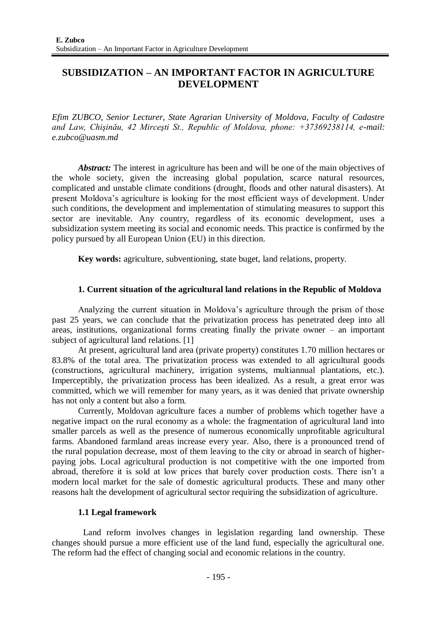# **SUBSIDIZATION – AN IMPORTANT FACTOR IN AGRICULTURE DEVELOPMENT**

*Efim ZUBCO, Senior Lecturer, State Agrarian University of Moldova, Faculty of Cadastre and Law, Chişinău, 42 Mirceşti St., Republic of Moldova, phone: +37369238114, e-mail: e.zubco@uasm.md*

*Abstract:* The interest in agriculture has been and will be one of the main objectives of the whole society, given the increasing global population, scarce natural resources, complicated and unstable climate conditions (drought, floods and other natural disasters). At present Moldova's agriculture is looking for the most efficient ways of development. Under such conditions, the development and implementation of stimulating measures to support this sector are inevitable. Any country, regardless of its economic development, uses a subsidization system meeting its social and economic needs. This practice is confirmed by the policy pursued by all European Union (EU) in this direction.

**Key words:** agriculture, subventioning, state buget, land relations, property.

## **1. Current situation of the agricultural land relations in the Republic of Moldova**

Analyzing the current situation in Moldova's agriculture through the prism of those past 25 years, we can conclude that the privatization process has penetrated deep into all areas, institutions, organizational forms creating finally the private owner – an important subject of agricultural land relations. [1]

At present, agricultural land area (private property) constitutes 1.70 million hectares or 83.8% of the total area. The privatization process was extended to all agricultural goods (constructions, agricultural machinery, irrigation systems, multiannual plantations, etc.). Imperceptibly, the privatization process has been idealized. As a result, a great error was committed, which we will remember for many years, as it was denied that private ownership has not only a content but also a form.

Currently, Moldovan agriculture faces a number of problems which together have a negative impact on the rural economy as a whole: the fragmentation of agricultural land into smaller parcels as well as the presence of numerous economically unprofitable agricultural farms. Abandoned farmland areas increase every year. Also, there is a pronounced trend of the rural population decrease, most of them leaving to the city or abroad in search of higherpaying jobs. Local agricultural production is not competitive with the one imported from abroad, therefore it is sold at low prices that barely cover production costs. There isn't a modern local market for the sale of domestic agricultural products. These and many other reasons halt the development of agricultural sector requiring the subsidization of agriculture.

### **1.1 Legal framework**

Land reform involves changes in legislation regarding land ownership. These changes should pursue a more efficient use of the land fund, especially the agricultural one. The reform had the effect of changing social and economic relations in the country.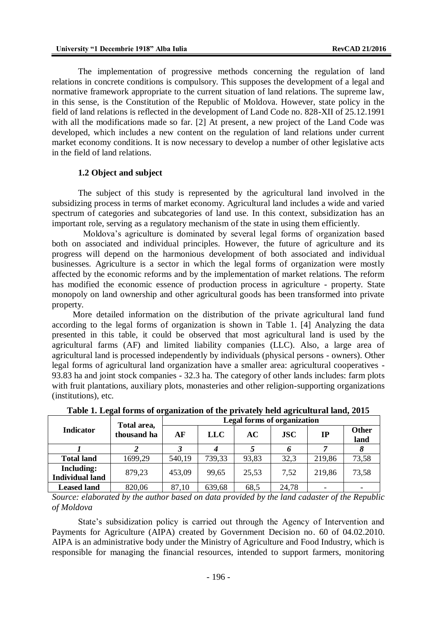The implementation of progressive methods concerning the regulation of land relations in concrete conditions is compulsory. This supposes the development of a legal and normative framework appropriate to the current situation of land relations. The supreme law, in this sense, is the Constitution of the Republic of Moldova. However, state policy in the field of land relations is reflected in the development of Land Code no. 828-XII of 25.12.1991 with all the modifications made so far. [2] At present, a new project of the Land Code was developed, which includes a new content on the regulation of land relations under current market economy conditions. It is now necessary to develop a number of other legislative acts in the field of land relations.

### **1.2 Object and subject**

The subject of this study is represented by the agricultural land involved in the subsidizing process in terms of market economy. Agricultural land includes a wide and varied spectrum of categories and subcategories of land use. In this context, subsidization has an important role, serving as a regulatory mechanism of the state in using them efficiently.

Moldova's agriculture is dominated by several legal forms of organization based both on associated and individual principles. However, the future of agriculture and its progress will depend on the harmonious development of both associated and individual businesses. Agriculture is a sector in which the legal forms of organization were mostly affected by the economic reforms and by the implementation of market relations. The reform has modified the economic essence of production process in agriculture - property. State monopoly on land ownership and other agricultural goods has been transformed into private property.

More detailed information on the distribution of the private agricultural land fund according to the legal forms of organization is shown in Table 1. [4] Analyzing the data presented in this table, it could be observed that most agricultural land is used by the agricultural farms (AF) and limited liability companies (LLC). Also, a large area of agricultural land is processed independently by individuals (physical persons - owners). Other legal forms of agricultural land organization have a smaller area: agricultural cooperatives - 93.83 ha and joint stock companies - 32.3 ha. The category of other lands includes: farm plots with fruit plantations, auxiliary plots, monasteries and other religion-supporting organizations (institutions), etc.

| <b>Indicator</b>                            | Total area,<br>thousand ha | <b>Legal forms of organization</b> |            |       |              |                          |                      |
|---------------------------------------------|----------------------------|------------------------------------|------------|-------|--------------|--------------------------|----------------------|
|                                             |                            | AF                                 | <b>LLC</b> | AC    | $_{\rm JSC}$ | IP                       | <b>Other</b><br>land |
|                                             |                            |                                    |            |       | n            |                          |                      |
| <b>Total land</b>                           | 1699,29                    | 540,19                             | 739,33     | 93,83 | 32,3         | 219,86                   | 73,58                |
| <b>Including:</b><br><b>Individual land</b> | 879,23                     | 453,09                             | 99,65      | 25,53 | 7,52         | 219,86                   | 73,58                |
| <b>Leased land</b>                          | 820,06                     | 87,10                              | 639,68     | 68.5  | 24,78        | $\overline{\phantom{0}}$ |                      |

**Table 1. Legal forms of organization of the privately held agricultural land, 2015** 

*Source: elaborated by the author based on data provided by the land cadaster of the Republic of Moldova*

State's subsidization policy is carried out through the Agency of Intervention and Payments for Agriculture (AIPA) created by Government Decision no. 60 of 04.02.2010. AIPA is an administrative body under the Ministry of Agriculture and Food Industry, which is responsible for managing the financial resources, intended to support farmers, monitoring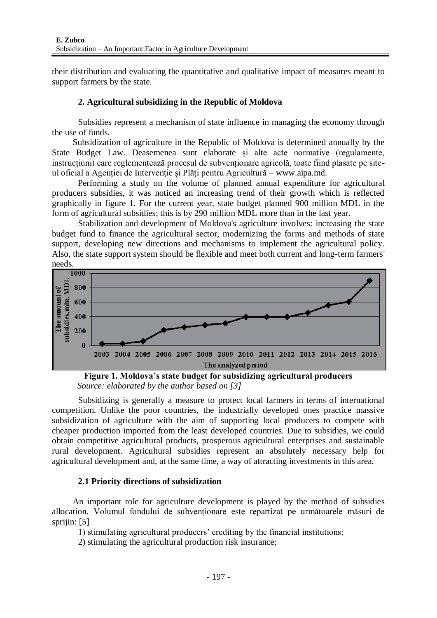their distribution and evaluating the quantitative and qualitative impact of measures meant to support farmers by the state.

## **2. Agricultural subsidizing in the Republic of Moldova**

Subsidies represent a mechanism of state influence in managing the economy through the use of funds.

Subsidization of agriculture in the Republic of Moldova is determined annually by the State Budget Law. Deasemenea sunt elaborate și alte acte normative (regulamente, instrucțiuni) care reglementează procesul de subvenționare agricolă, toate fiind plasate pe siteul oficial a Agenției de Intervenție și Plăți pentru Agricultură – www.aipa.md.

Performing a study on the volume of planned annual expenditure for agricultural producers subsidies, it was noticed an increasing trend of their growth which is reflected graphically in figure 1. For the current year, state budget planned 900 million MDL in the form of agricultural subsidies; this is by 290 million MDL more than in the last year.

Stabilization and development of Moldova's agriculture involves: increasing the state budget fund to finance the agricultural sector, modernizing the forms and methods of state support, developing new directions and mechanisms to implement the agricultural policy. Also, the state support system should be flexible and meet both current and long-term farmers'  $\frac{\text{needs.}}{\frac{1000}{1000}}$ 



**Figure 1. Moldova's state budget for subsidizing agricultural producers** *Source: elaborated by the author based on [3]*

Subsidizing is generally a measure to protect local farmers in terms of international competition. Unlike the poor countries, the industrially developed ones practice massive subsidization of agriculture with the aim of supporting local producers to compete with cheaper production imported from the least developed countries. Due to subsidies, we could obtain competitive agricultural products, prosperous agricultural enterprises and sustainable rural development. Agricultural subsidies represent an absolutely necessary help for agricultural development and, at the same time, a way of attracting investments in this area.

### **2.1 Priority directions of subsidization**

An important role for agriculture development is played by the method of subsidies allocation. Volumul fondului de subvenționare este repartizat pe următoarele măsuri de sprijin: [5]

1) stimulating agricultural producers' crediting by the financial institutions;

2) stimulating the agricultural production risk insurance;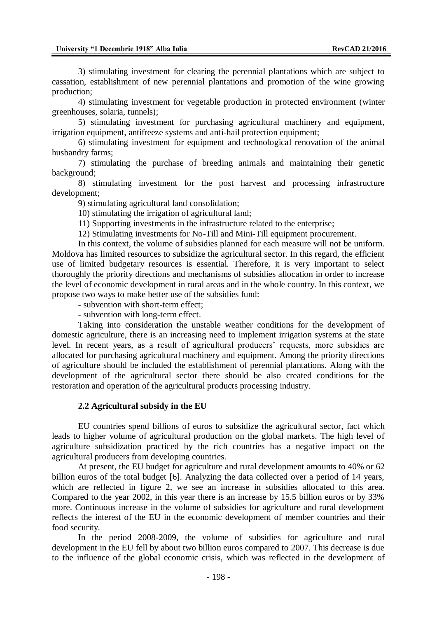3) stimulating investment for clearing the perennial plantations which are subject to cassation, establishment of new perennial plantations and promotion of the wine growing production;

4) stimulating investment for vegetable production in protected environment (winter greenhouses, solaria, tunnels);

5) stimulating investment for purchasing agricultural machinery and equipment, irrigation equipment, antifreeze systems and anti-hail protection equipment;

6) stimulating investment for equipment and technological renovation of the animal husbandry farms;

7) stimulating the purchase of breeding animals and maintaining their genetic background;

8) stimulating investment for the post harvest and processing infrastructure development;

9) stimulating agricultural land consolidation;

10) stimulating the irrigation of agricultural land;

11) Supporting investments in the infrastructure related to the enterprise;

12) Stimulating investments for No-Till and Mini-Till equipment procurement.

In this context, the volume of subsidies planned for each measure will not be uniform. Moldova has limited resources to subsidize the agricultural sector. In this regard, the efficient use of limited budgetary resources is essential. Therefore, it is very important to select thoroughly the priority directions and mechanisms of subsidies allocation in order to increase the level of economic development in rural areas and in the whole country. In this context, we propose two ways to make better use of the subsidies fund:

- subvention with short-term effect;

- subvention with long-term effect.

Taking into consideration the unstable weather conditions for the development of domestic agriculture, there is an increasing need to implement irrigation systems at the state level. In recent years, as a result of agricultural producers' requests, more subsidies are allocated for purchasing agricultural machinery and equipment. Among the priority directions of agriculture should be included the establishment of perennial plantations. Along with the development of the agricultural sector there should be also created conditions for the restoration and operation of the agricultural products processing industry.

#### **2.2 Agricultural subsidy in the EU**

EU countries spend billions of euros to subsidize the agricultural sector, fact which leads to higher volume of agricultural production on the global markets. The high level of agriculture subsidization practiced by the rich countries has a negative impact on the agricultural producers from developing countries.

At present, the EU budget for agriculture and rural development amounts to 40% or 62 billion euros of the total budget [6]. Analyzing the data collected over a period of 14 years, which are reflected in figure 2, we see an increase in subsidies allocated to this area. Compared to the year 2002, in this year there is an increase by 15.5 billion euros or by 33% more. Continuous increase in the volume of subsidies for agriculture and rural development reflects the interest of the EU in the economic development of member countries and their food security.

In the period 2008-2009, the volume of subsidies for agriculture and rural development in the EU fell by about two billion euros compared to 2007. This decrease is due to the influence of the global economic crisis, which was reflected in the development of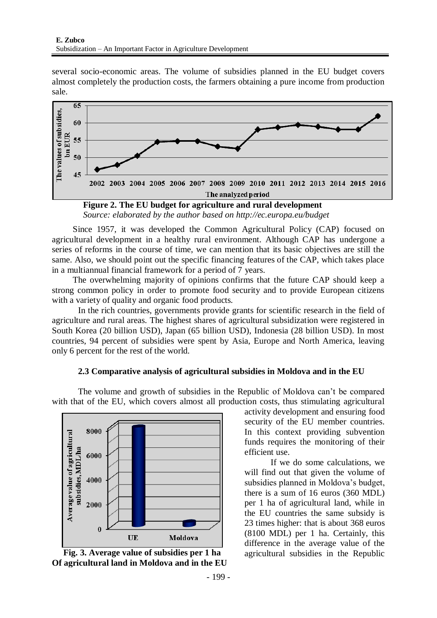several socio-economic areas. The volume of subsidies planned in the EU budget covers almost completely the production costs, the farmers obtaining a pure income from production sale.



*Source: elaborated by the author based on http://ec.europa.eu/budget*

Since 1957, it was developed the Common Agricultural Policy (CAP) focused on agricultural development in a healthy rural environment. Although CAP has undergone a series of reforms in the course of time, we can mention that its basic objectives are still the same. Also, we should point out the specific financing features of the CAP, which takes place in a multiannual financial framework for a period of 7 years.

The overwhelming majority of opinions confirms that the future CAP should keep a strong common policy in order to promote food security and to provide European citizens with a variety of quality and organic food products.

In the rich countries, governments provide grants for scientific research in the field of agriculture and rural areas. The highest shares of agricultural subsidization were registered in South Korea (20 billion USD), Japan (65 billion USD), Indonesia (28 billion USD). In most countries, 94 percent of subsidies were spent by Asia, Europe and North America, leaving only 6 percent for the rest of the world.

### **2.3 Comparative analysis of agricultural subsidies in Moldova and in the EU**

The volume and growth of subsidies in the Republic of Moldova can't be compared with that of the EU, which covers almost all production costs, thus stimulating agricultural



**Of agricultural land in Moldova and in the EU**

activity development and ensuring food security of the EU member countries. In this context providing subvention funds requires the monitoring of their efficient use.

If we do some calculations, we will find out that given the volume of subsidies planned in Moldova's budget, there is a sum of 16 euros (360 MDL) per 1 ha of agricultural land, while in the EU countries the same subsidy is 23 times higher: that is about 368 euros (8100 MDL) per 1 ha. Certainly, this difference in the average value of the **Fig. 3. Average value of subsidies per 1 ha** agricultural subsidies in the Republic